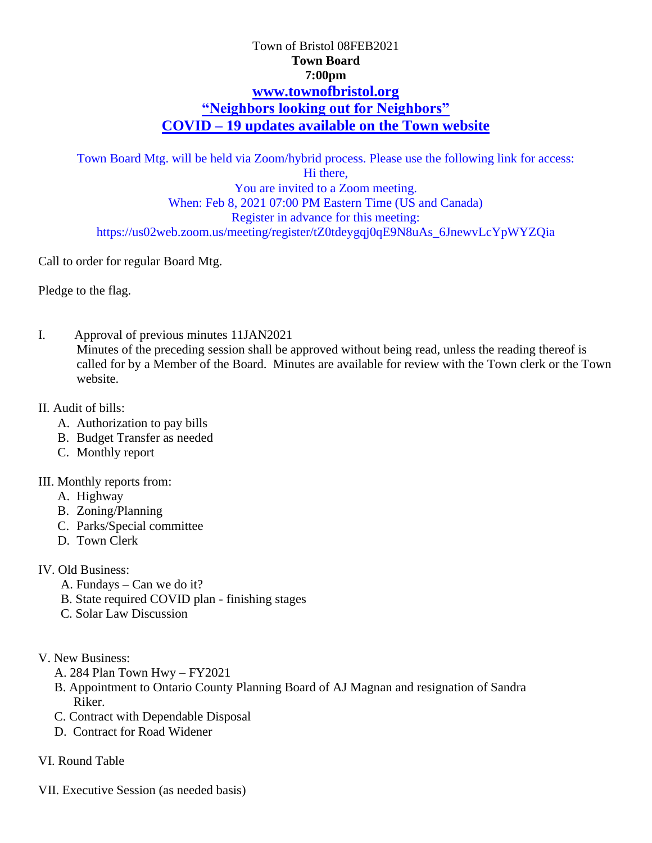# Town of Bristol 08FEB2021 **Town Board 7:00pm [www.townofbristol.org](http://www.townofbristol.org/) "Neighbors looking out for Neighbors" COVID – 19 updates available on the Town website**

Town Board Mtg. will be held via Zoom/hybrid process. Please use the following link for access: Hi there, You are invited to a Zoom meeting. When: Feb 8, 2021 07:00 PM Eastern Time (US and Canada) Register in advance for this meeting: https://us02web.zoom.us/meeting/register/tZ0tdeygqj0qE9N8uAs\_6JnewvLcYpWYZQia

Call to order for regular Board Mtg.

Pledge to the flag.

I. Approval of previous minutes 11JAN2021 Minutes of the preceding session shall be approved without being read, unless the reading thereof is called for by a Member of the Board. Minutes are available for review with the Town clerk or the Town website.

#### II. Audit of bills:

- A. Authorization to pay bills
- B. Budget Transfer as needed
- C. Monthly report

#### III. Monthly reports from:

- A. Highway
- B. Zoning/Planning
- C. Parks/Special committee
- D. Town Clerk
- IV. Old Business:
	- A. Fundays Can we do it?
	- B. State required COVID plan finishing stages
	- C. Solar Law Discussion
- V. New Business:
	- A. 284 Plan Town Hwy FY2021
	- B. Appointment to Ontario County Planning Board of AJ Magnan and resignation of Sandra Riker.
	- C. Contract with Dependable Disposal
	- D. Contract for Road Widener
- VI. Round Table
- VII. Executive Session (as needed basis)